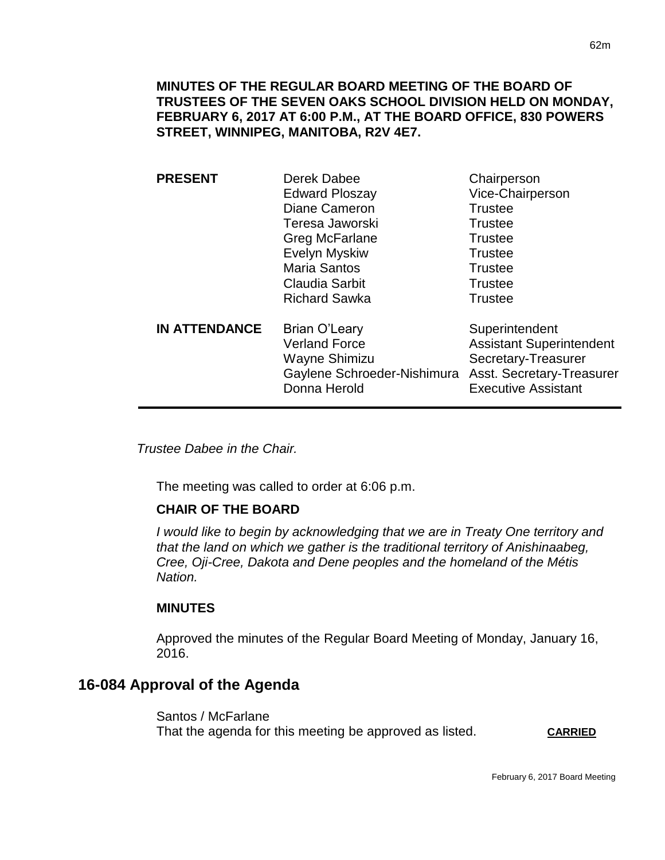**MINUTES OF THE REGULAR BOARD MEETING OF THE BOARD OF TRUSTEES OF THE SEVEN OAKS SCHOOL DIVISION HELD ON MONDAY, FEBRUARY 6, 2017 AT 6:00 P.M., AT THE BOARD OFFICE, 830 POWERS STREET, WINNIPEG, MANITOBA, R2V 4E7.**

| <b>PRESENT</b>       | Derek Dabee<br><b>Edward Ploszay</b><br>Diane Cameron<br>Teresa Jaworski<br>Greg McFarlane<br><b>Evelyn Myskiw</b><br><b>Maria Santos</b><br><b>Claudia Sarbit</b><br><b>Richard Sawka</b> | Chairperson<br>Vice-Chairperson<br><b>Trustee</b><br><b>Trustee</b><br><b>Trustee</b><br><b>Trustee</b><br><b>Trustee</b><br><b>Trustee</b><br><b>Trustee</b> |
|----------------------|--------------------------------------------------------------------------------------------------------------------------------------------------------------------------------------------|---------------------------------------------------------------------------------------------------------------------------------------------------------------|
| <b>IN ATTENDANCE</b> | <b>Brian O'Leary</b><br><b>Verland Force</b><br>Wayne Shimizu<br>Gaylene Schroeder-Nishimura<br>Donna Herold                                                                               | Superintendent<br><b>Assistant Superintendent</b><br>Secretary-Treasurer<br>Asst. Secretary-Treasurer<br><b>Executive Assistant</b>                           |

*Trustee Dabee in the Chair.* 

The meeting was called to order at 6:06 p.m.

#### **CHAIR OF THE BOARD**

*I would like to begin by acknowledging that we are in Treaty One territory and that the land on which we gather is the traditional territory of Anishinaabeg, Cree, Oji-Cree, Dakota and Dene peoples and the homeland of the Métis Nation.*

#### **MINUTES**

Approved the minutes of the Regular Board Meeting of Monday, January 16, 2016.

# **16-084 Approval of the Agenda**

Santos / McFarlane That the agenda for this meeting be approved as listed. **CARRIED**

February 6, 2017 Board Meeting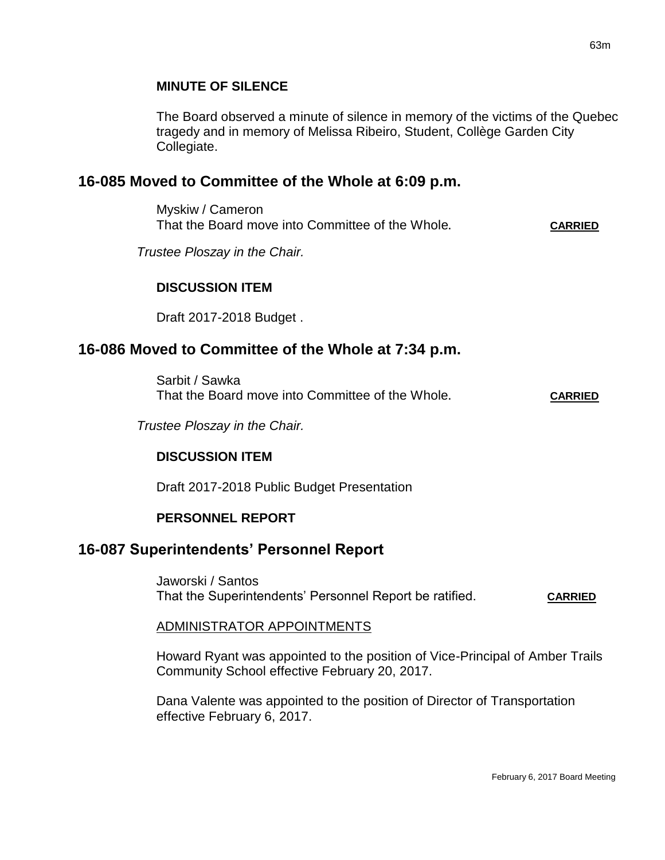#### **MINUTE OF SILENCE**

The Board observed a minute of silence in memory of the victims of the Quebec tragedy and in memory of Melissa Ribeiro, Student, Collège Garden City Collegiate.

## **16-085 Moved to Committee of the Whole at 6:09 p.m.**

Myskiw / Cameron That the Board move into Committee of the Whole**. CARRIED**

*Trustee Ploszay in the Chair.*

#### **DISCUSSION ITEM**

Draft 2017-2018 Budget .

## **16-086 Moved to Committee of the Whole at 7:34 p.m.**

Sarbit / Sawka That the Board move into Committee of the Whole**. CARRIED**

*Trustee Ploszay in the Chair.*

## **DISCUSSION ITEM**

Draft 2017-2018 Public Budget Presentation

#### **PERSONNEL REPORT**

## **16-087 Superintendents' Personnel Report**

Jaworski / Santos That the Superintendents' Personnel Report be ratified. **CARRIED**

#### ADMINISTRATOR APPOINTMENTS

Howard Ryant was appointed to the position of Vice-Principal of Amber Trails Community School effective February 20, 2017.

Dana Valente was appointed to the position of Director of Transportation effective February 6, 2017.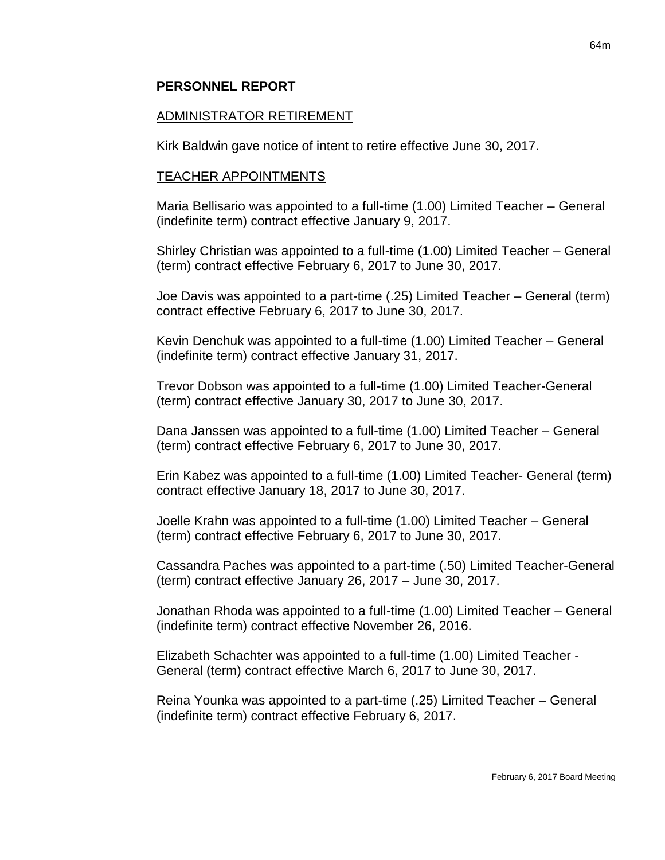#### **PERSONNEL REPORT**

#### ADMINISTRATOR RETIREMENT

Kirk Baldwin gave notice of intent to retire effective June 30, 2017.

#### TEACHER APPOINTMENTS

Maria Bellisario was appointed to a full-time (1.00) Limited Teacher – General (indefinite term) contract effective January 9, 2017.

Shirley Christian was appointed to a full-time (1.00) Limited Teacher – General (term) contract effective February 6, 2017 to June 30, 2017.

Joe Davis was appointed to a part-time (.25) Limited Teacher – General (term) contract effective February 6, 2017 to June 30, 2017.

Kevin Denchuk was appointed to a full-time (1.00) Limited Teacher – General (indefinite term) contract effective January 31, 2017.

Trevor Dobson was appointed to a full-time (1.00) Limited Teacher-General (term) contract effective January 30, 2017 to June 30, 2017.

Dana Janssen was appointed to a full-time (1.00) Limited Teacher – General (term) contract effective February 6, 2017 to June 30, 2017.

Erin Kabez was appointed to a full-time (1.00) Limited Teacher- General (term) contract effective January 18, 2017 to June 30, 2017.

Joelle Krahn was appointed to a full-time (1.00) Limited Teacher – General (term) contract effective February 6, 2017 to June 30, 2017.

Cassandra Paches was appointed to a part-time (.50) Limited Teacher-General (term) contract effective January 26, 2017 – June 30, 2017.

Jonathan Rhoda was appointed to a full-time (1.00) Limited Teacher – General (indefinite term) contract effective November 26, 2016.

Elizabeth Schachter was appointed to a full-time (1.00) Limited Teacher - General (term) contract effective March 6, 2017 to June 30, 2017.

Reina Younka was appointed to a part-time (.25) Limited Teacher – General (indefinite term) contract effective February 6, 2017.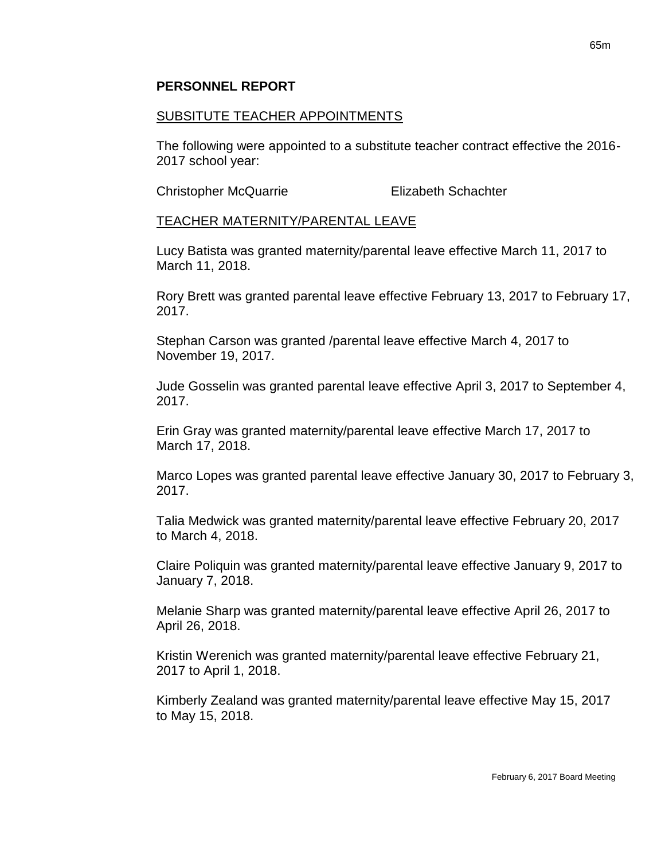### SUBSITUTE TEACHER APPOINTMENTS

The following were appointed to a substitute teacher contract effective the 2016- 2017 school year:

Christopher McQuarrie Elizabeth Schachter

### TEACHER MATERNITY/PARENTAL LEAVE

Lucy Batista was granted maternity/parental leave effective March 11, 2017 to March 11, 2018.

Rory Brett was granted parental leave effective February 13, 2017 to February 17, 2017.

Stephan Carson was granted /parental leave effective March 4, 2017 to November 19, 2017.

Jude Gosselin was granted parental leave effective April 3, 2017 to September 4, 2017.

Erin Gray was granted maternity/parental leave effective March 17, 2017 to March 17, 2018.

Marco Lopes was granted parental leave effective January 30, 2017 to February 3, 2017.

Talia Medwick was granted maternity/parental leave effective February 20, 2017 to March 4, 2018.

Claire Poliquin was granted maternity/parental leave effective January 9, 2017 to January 7, 2018.

Melanie Sharp was granted maternity/parental leave effective April 26, 2017 to April 26, 2018.

Kristin Werenich was granted maternity/parental leave effective February 21, 2017 to April 1, 2018.

Kimberly Zealand was granted maternity/parental leave effective May 15, 2017 to May 15, 2018.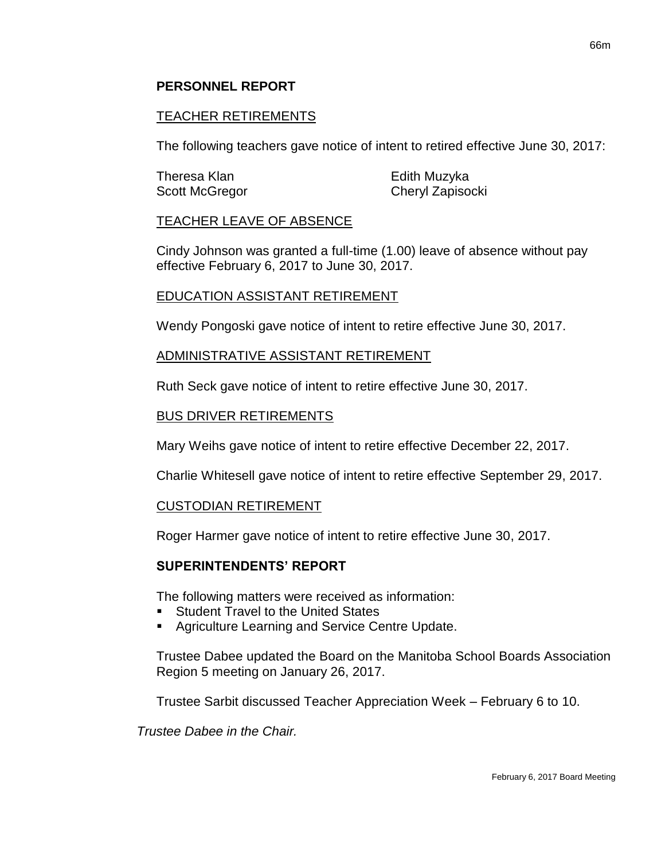### **PERSONNEL REPORT**

### TEACHER RETIREMENTS

The following teachers gave notice of intent to retired effective June 30, 2017:

| Theresa Klan   | Edith Muzyka     |
|----------------|------------------|
| Scott McGregor | Cheryl Zapisocki |

#### TEACHER LEAVE OF ABSENCE

Cindy Johnson was granted a full-time (1.00) leave of absence without pay effective February 6, 2017 to June 30, 2017.

#### EDUCATION ASSISTANT RETIREMENT

Wendy Pongoski gave notice of intent to retire effective June 30, 2017.

#### ADMINISTRATIVE ASSISTANT RETIREMENT

Ruth Seck gave notice of intent to retire effective June 30, 2017.

#### BUS DRIVER RETIREMENTS

Mary Weihs gave notice of intent to retire effective December 22, 2017.

Charlie Whitesell gave notice of intent to retire effective September 29, 2017.

#### CUSTODIAN RETIREMENT

Roger Harmer gave notice of intent to retire effective June 30, 2017.

#### **SUPERINTENDENTS' REPORT**

The following matters were received as information:

- Student Travel to the United States
- Agriculture Learning and Service Centre Update.

Trustee Dabee updated the Board on the Manitoba School Boards Association Region 5 meeting on January 26, 2017.

Trustee Sarbit discussed Teacher Appreciation Week – February 6 to 10.

*Trustee Dabee in the Chair.*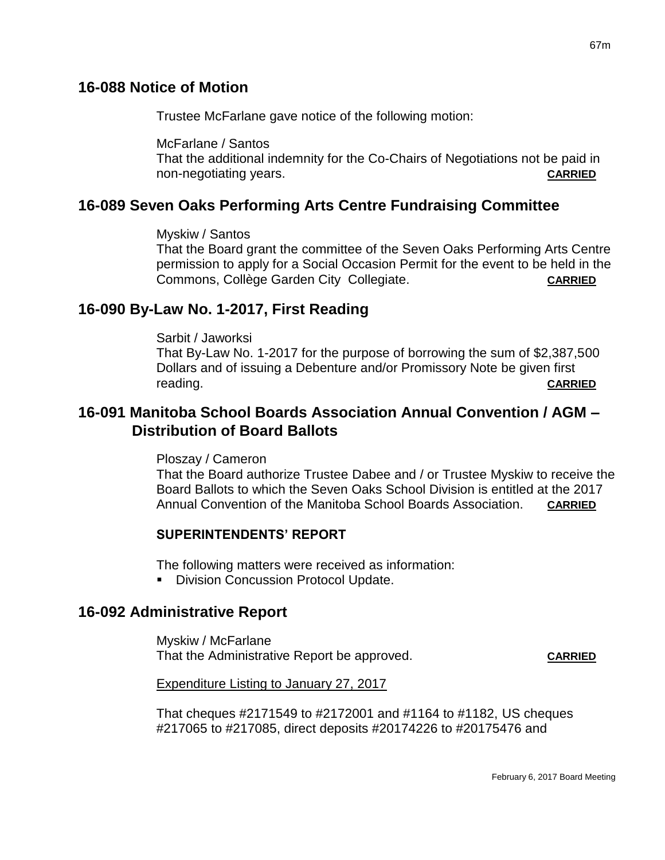## **16-088 Notice of Motion**

Trustee McFarlane gave notice of the following motion:

McFarlane / Santos

That the additional indemnity for the Co-Chairs of Negotiations not be paid in non-negotiating years. **CARRIED**

# **16-089 Seven Oaks Performing Arts Centre Fundraising Committee**

Myskiw / Santos

That the Board grant the committee of the Seven Oaks Performing Arts Centre permission to apply for a Social Occasion Permit for the event to be held in the Commons, Collège Garden City Collegiate. **CARRIED**

# **16-090 By-Law No. 1-2017, First Reading**

Sarbit / Jaworksi

That By-Law No. 1-2017 for the purpose of borrowing the sum of \$2,387,500 Dollars and of issuing a Debenture and/or Promissory Note be given first reading. **CARRIED**

# **16-091 Manitoba School Boards Association Annual Convention / AGM – Distribution of Board Ballots**

Ploszay / Cameron

That the Board authorize Trustee Dabee and / or Trustee Myskiw to receive the Board Ballots to which the Seven Oaks School Division is entitled at the 2017 Annual Convention of the Manitoba School Boards Association. **CARRIED**

## **SUPERINTENDENTS' REPORT**

The following matters were received as information:

**Division Concussion Protocol Update.** 

## **16-092 Administrative Report**

Myskiw / McFarlane That the Administrative Report be approved. **CARRIED**

Expenditure Listing to January 27, 2017

That cheques #2171549 to #2172001 and #1164 to #1182, US cheques #217065 to #217085, direct deposits #20174226 to #20175476 and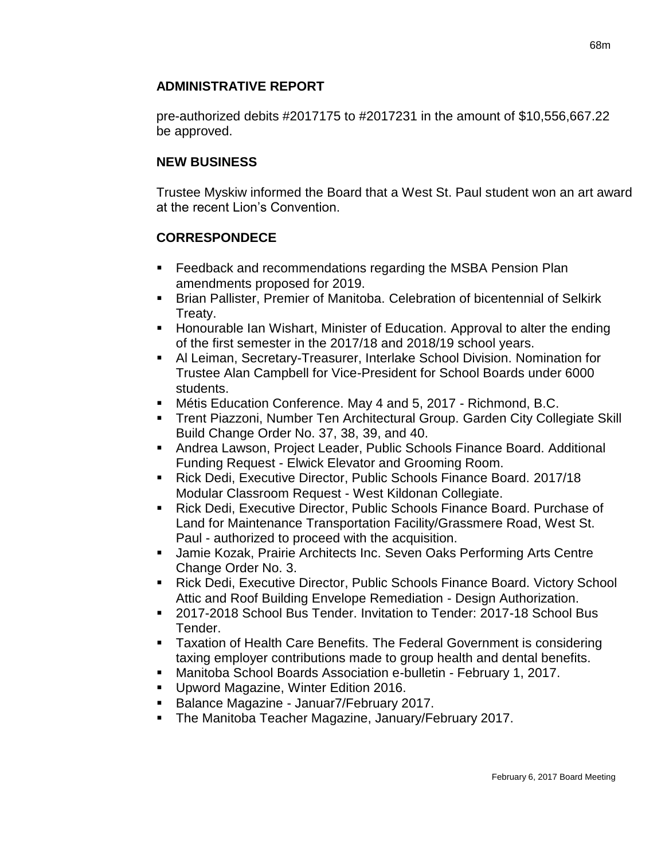## **ADMINISTRATIVE REPORT**

pre-authorized debits #2017175 to #2017231 in the amount of \$10,556,667.22 be approved.

## **NEW BUSINESS**

Trustee Myskiw informed the Board that a West St. Paul student won an art award at the recent Lion's Convention.

## **CORRESPONDECE**

- **Feedback and recommendations regarding the MSBA Pension Plan** amendments proposed for 2019.
- Brian Pallister, Premier of Manitoba. Celebration of bicentennial of Selkirk Treaty.
- **Honourable Ian Wishart, Minister of Education. Approval to alter the ending** of the first semester in the 2017/18 and 2018/19 school years.
- Al Leiman, Secretary-Treasurer, Interlake School Division. Nomination for Trustee Alan Campbell for Vice-President for School Boards under 6000 students.
- Métis Education Conference. May 4 and 5, 2017 Richmond, B.C.
- Trent Piazzoni, Number Ten Architectural Group. Garden City Collegiate Skill Build Change Order No. 37, 38, 39, and 40.
- Andrea Lawson, Project Leader, Public Schools Finance Board. Additional Funding Request - Elwick Elevator and Grooming Room.
- Rick Dedi, Executive Director, Public Schools Finance Board. 2017/18 Modular Classroom Request - West Kildonan Collegiate.
- Rick Dedi, Executive Director, Public Schools Finance Board. Purchase of Land for Maintenance Transportation Facility/Grassmere Road, West St. Paul - authorized to proceed with the acquisition.
- Jamie Kozak, Prairie Architects Inc. Seven Oaks Performing Arts Centre Change Order No. 3.
- Rick Dedi, Executive Director, Public Schools Finance Board. Victory School Attic and Roof Building Envelope Remediation - Design Authorization.
- 2017-2018 School Bus Tender. Invitation to Tender: 2017-18 School Bus Tender.
- **Taxation of Health Care Benefits. The Federal Government is considering** taxing employer contributions made to group health and dental benefits.
- Manitoba School Boards Association e-bulletin February 1, 2017.
- **Upword Magazine, Winter Edition 2016.**
- Balance Magazine Januar7/February 2017.
- **The Manitoba Teacher Magazine, January/February 2017.**